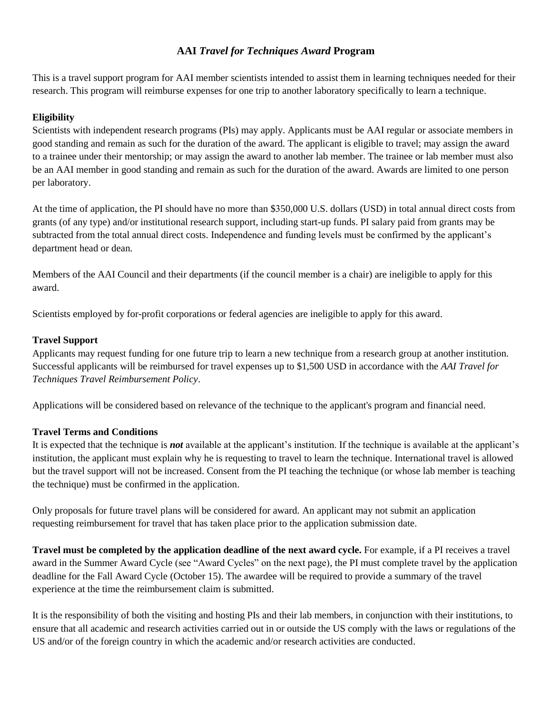### **AAI** *Travel for Techniques Award* **Program**

This is a travel support program for AAI member scientists intended to assist them in learning techniques needed for their research. This program will reimburse expenses for one trip to another laboratory specifically to learn a technique.

### **Eligibility**

Scientists with independent research programs (PIs) may apply. Applicants must be AAI regular or associate members in good standing and remain as such for the duration of the award. The applicant is eligible to travel; may assign the award to a trainee under their mentorship; or may assign the award to another lab member. The trainee or lab member must also be an AAI member in good standing and remain as such for the duration of the award. Awards are limited to one person per laboratory.

At the time of application, the PI should have no more than \$350,000 U.S. dollars (USD) in total annual direct costs from grants (of any type) and/or institutional research support, including start-up funds. PI salary paid from grants may be subtracted from the total annual direct costs. Independence and funding levels must be confirmed by the applicant's department head or dean.

Members of the AAI Council and their departments (if the council member is a chair) are ineligible to apply for this award.

Scientists employed by for-profit corporations or federal agencies are ineligible to apply for this award.

### **Travel Support**

Applicants may request funding for one future trip to learn a new technique from a research group at another institution. Successful applicants will be reimbursed for travel expenses up to \$1,500 USD in accordance with the *AAI Travel for Techniques Travel Reimbursement Policy*.

Applications will be considered based on relevance of the technique to the applicant's program and financial need.

### **Travel Terms and Conditions**

It is expected that the technique is *not* available at the applicant's institution. If the technique is available at the applicant's institution, the applicant must explain why he is requesting to travel to learn the technique. International travel is allowed but the travel support will not be increased. Consent from the PI teaching the technique (or whose lab member is teaching the technique) must be confirmed in the application.

Only proposals for future travel plans will be considered for award. An applicant may not submit an application requesting reimbursement for travel that has taken place prior to the application submission date.

**Travel must be completed by the application deadline of the next award cycle.** For example, if a PI receives a travel award in the Summer Award Cycle (see "Award Cycles" on the next page), the PI must complete travel by the application deadline for the Fall Award Cycle (October 15). The awardee will be required to provide a summary of the travel experience at the time the reimbursement claim is submitted.

It is the responsibility of both the visiting and hosting PIs and their lab members, in conjunction with their institutions, to ensure that all academic and research activities carried out in or outside the US comply with the laws or regulations of the US and/or of the foreign country in which the academic and/or research activities are conducted.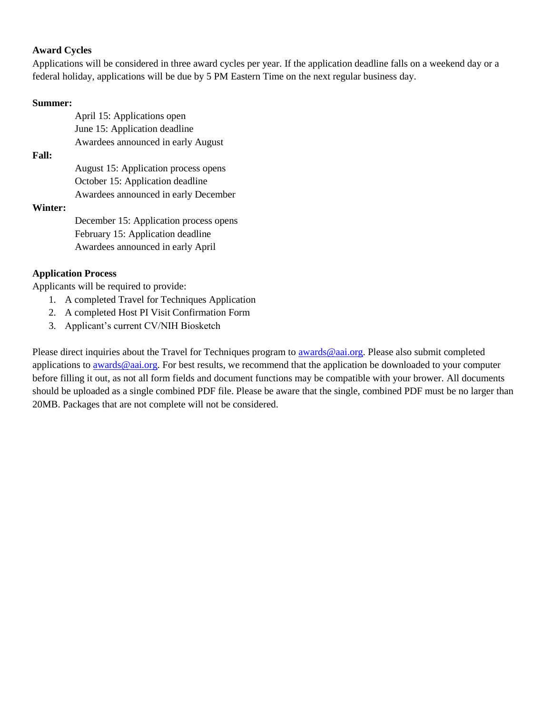### **Award Cycles**

Applications will be considered in three award cycles per year. If the application deadline falls on a weekend day or a federal holiday, applications will be due by 5 PM Eastern Time on the next regular business day.

#### **Summer:**

|              | April 15: Applications open            |
|--------------|----------------------------------------|
|              | June 15: Application deadline          |
|              | Awardees announced in early August     |
| <b>Fall:</b> |                                        |
|              | August 15: Application process opens   |
|              | October 15: Application deadline       |
|              | Awardees announced in early December   |
| Winter:      |                                        |
|              | December 15: Application process opens |
|              | February 15: Application deadline      |
|              | Awardees announced in early April      |
|              |                                        |

### **Application Process**

Applicants will be required to provide:

- 1. A completed Travel for Techniques Application
- 2. A completed Host PI Visit Confirmation Form
- 3. Applicant's current CV/NIH Biosketch

Please direct inquiries about the Travel for Techniques program to [awards@aai.org.](mailto:awards@aai.org) Please also submit completed applications to **awards@aai.org**. For best results, we recommend that the application be downloaded to your computer before filling it out, as not all form fields and document functions may be compatible with your brower. All documents should be uploaded as a single combined PDF file. Please be aware that the single, combined PDF must be no larger than 20MB. Packages that are not complete will not be considered.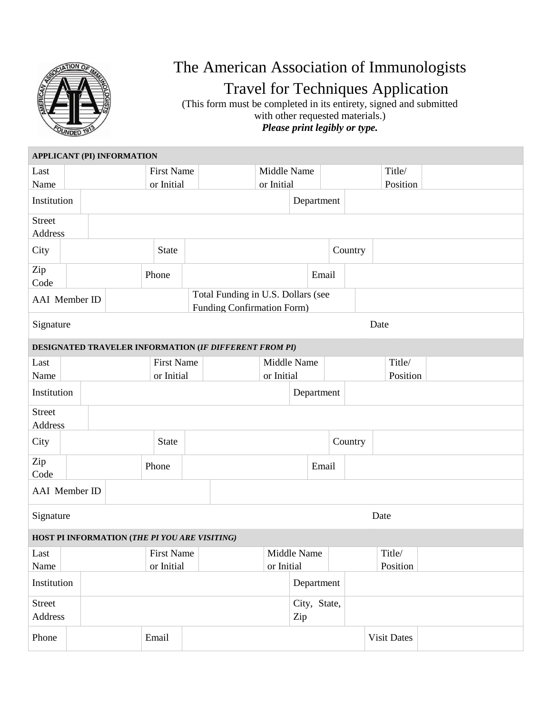

# The American Association of Immunologists Travel for Techniques Application

(This form must be completed in its entirety, signed and submitted with other requested materials.) *Please print legibly or type.*

| <b>APPLICANT (PI) INFORMATION</b>             |                           |            |  |              |                   |                                                        |             |             |         |         |  |                    |  |
|-----------------------------------------------|---------------------------|------------|--|--------------|-------------------|--------------------------------------------------------|-------------|-------------|---------|---------|--|--------------------|--|
| Last                                          |                           |            |  |              | <b>First Name</b> |                                                        | Middle Name |             |         |         |  | Title/             |  |
| Name                                          |                           |            |  |              | or Initial        |                                                        | or Initial  |             |         |         |  | Position           |  |
| Institution                                   |                           |            |  |              |                   |                                                        | Department  |             |         |         |  |                    |  |
| <b>Street</b>                                 |                           |            |  |              |                   |                                                        |             |             |         |         |  |                    |  |
| Address                                       |                           |            |  |              |                   |                                                        |             |             |         |         |  |                    |  |
| City                                          |                           |            |  |              | <b>State</b>      |                                                        |             |             |         | Country |  |                    |  |
| Zip                                           |                           |            |  |              | Phone             | Email                                                  |             |             |         |         |  |                    |  |
| Code                                          |                           |            |  |              |                   |                                                        |             |             |         |         |  |                    |  |
| <b>AAI</b> Member ID                          |                           |            |  |              |                   | Total Funding in U.S. Dollars (see                     |             |             |         |         |  |                    |  |
|                                               |                           |            |  |              |                   | Funding Confirmation Form)                             |             |             |         |         |  |                    |  |
| Signature                                     |                           |            |  |              |                   |                                                        |             |             |         |         |  | Date               |  |
|                                               |                           |            |  |              |                   | DESIGNATED TRAVELER INFORMATION (IF DIFFERENT FROM PI) |             |             |         |         |  |                    |  |
| Last                                          |                           |            |  |              | <b>First Name</b> |                                                        | Middle Name |             |         |         |  | Title/             |  |
| Name                                          |                           | or Initial |  |              |                   |                                                        | or Initial  |             |         |         |  | Position           |  |
| Institution                                   |                           |            |  |              |                   | Department                                             |             |             |         |         |  |                    |  |
| <b>Street</b>                                 |                           |            |  |              |                   |                                                        |             |             |         |         |  |                    |  |
| Address                                       |                           |            |  |              |                   |                                                        |             |             |         |         |  |                    |  |
| City                                          |                           |            |  | <b>State</b> |                   |                                                        |             |             | Country |         |  |                    |  |
| Zip                                           |                           | Phone      |  |              |                   |                                                        |             |             | Email   |         |  |                    |  |
| Code                                          |                           |            |  |              |                   |                                                        |             |             |         |         |  |                    |  |
| AAI Member ID                                 |                           |            |  |              |                   |                                                        |             |             |         |         |  |                    |  |
| Signature<br>Date                             |                           |            |  |              |                   |                                                        |             |             |         |         |  |                    |  |
| HOST PI INFORMATION (THE PI YOU ARE VISITING) |                           |            |  |              |                   |                                                        |             |             |         |         |  |                    |  |
| Last                                          |                           |            |  |              | First Name        |                                                        |             | Middle Name |         |         |  | Title/             |  |
| Name                                          |                           | or Initial |  |              | or Initial        |                                                        |             | Position    |         |         |  |                    |  |
|                                               | Institution<br>Department |            |  |              |                   |                                                        |             |             |         |         |  |                    |  |
| Street                                        |                           |            |  |              | City, State,      |                                                        |             |             |         |         |  |                    |  |
| Address                                       |                           |            |  |              |                   |                                                        |             | Zip         |         |         |  |                    |  |
| Phone                                         |                           |            |  | Email        |                   |                                                        |             |             |         |         |  | <b>Visit Dates</b> |  |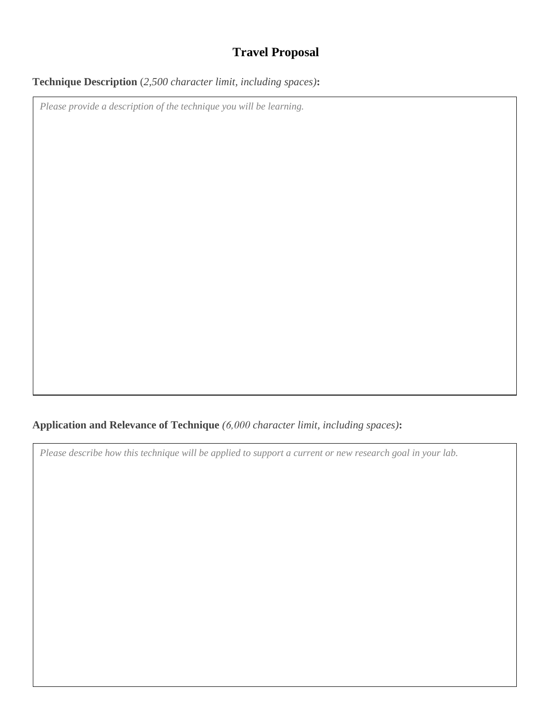## **Travel Proposal**

## **Technique Description** (*2,500 character limit, including spaces)***:**

*Please provide a description of the technique you will be learning.*

## **Application and Relevance of Technique** *(6,000 character limit, including spaces)***:**

*Please describe how this technique will be applied to support a current or new research goal in your lab.*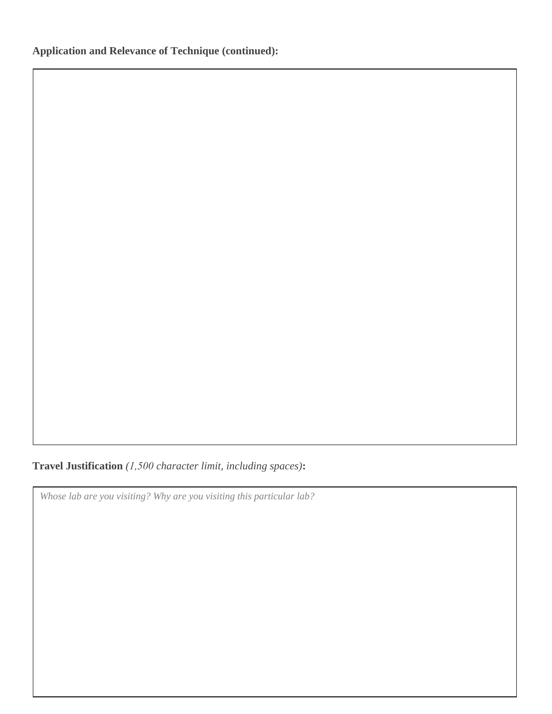**Travel Justification** *(1,500 character limit, including spaces)***:**

*Whose lab are you visiting? Why are you visiting this particular lab?*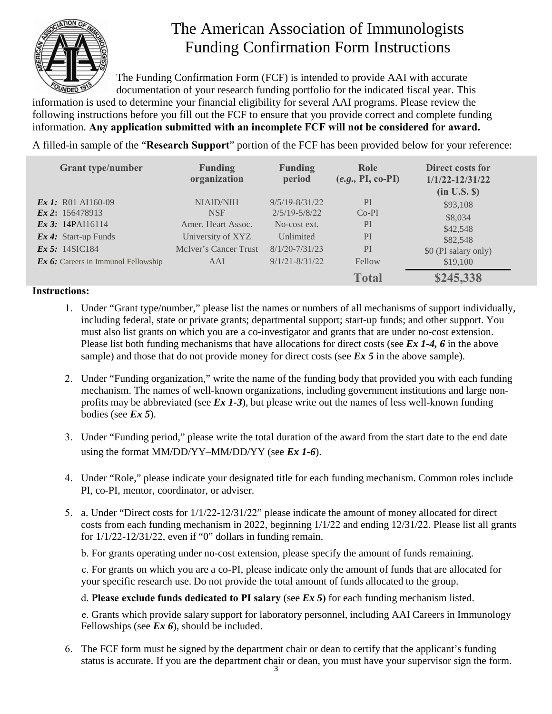

# The American Association of Immunologists Funding Confirmation Form Instructions

The Funding Confirmation Form (FCF) is intended to provide AAI with accurate documentation of your research funding portfolio for the indicated fiscal year. This

information is used to determine your financial eligibility for several AAI programs. Please review the following instructions before you fill out the FCF to ensure that you provide correct and complete funding information. **Any application submitted with an incomplete FCF will not be considered for award.** 

A filled-in sample of the "**Research Support**" portion of the FCF has been provided below for your reference:

| <b>Grant type/number</b>             | <b>Funding</b><br>organization | <b>Funding</b><br>period | Role<br>$(e.g., PI, co-PI)$ | Direct costs for<br>$1/1/22 - 12/31/22$<br>$(in U.S.$ $\mathcal{S})$ |
|--------------------------------------|--------------------------------|--------------------------|-----------------------------|----------------------------------------------------------------------|
| <b>Ex 1:</b> R01 AI160-09            | <b>NIAID/NIH</b>               | $9/5/19 - 8/31/22$       | PI                          | \$93,108                                                             |
| $\mathbf{Ex\,2:}$ 156478913          | <b>NSF</b>                     | $2/5/19 - 5/8/22$        | $Co-PI$                     | \$8,034                                                              |
| Ex 3: $14$ PAI16114                  | Amer. Heart Assoc.             | No-cost ext.             | PI                          | \$42,548                                                             |
| $\boldsymbol{Ex\,4:}$ Start-up Funds | University of XYZ              | Unlimited                | PI                          | \$82,548                                                             |
| Ex 5: $14\text{SIC}184$              | McIver's Cancer Trust          | $8/1/20 - 7/31/23$       | PI                          | \$0 (PI salary only)                                                 |
| Ex 6: Careers in Immunol Fellowship  | AAI                            | $9/1/21 - 8/31/22$       | Fellow                      | \$19,100                                                             |
|                                      |                                |                          | <b>Total</b>                | \$245,338                                                            |

### **Instructions:**

- 1. Under "Grant type/number," please list the names or numbers of all mechanisms of support individually, including federal, state or private grants; departmental support; start-up funds; and other support. You must also list grants on which you are a co-investigator and grants that are under no-cost extension. Please list both funding mechanisms that have allocations for direct costs (see *Ex 1-4, 6* in the above sample) and those that do not provide money for direct costs (see *Ex 5* in the above sample).
- 2. Under "Funding organization," write the name of the funding body that provided you with each funding mechanism. The names of well-known organizations, including government institutions and large nonprofits may be abbreviated (see *Ex 1-3*), but please write out the names of less well-known funding bodies (see *Ex 5*).
- 3. Under "Funding period," please write the total duration of the award from the start date to the end date using the format MM/DD/YY–MM/DD/YY (see *Ex 1-6*).
- 4. Under "Role," please indicate your designated title for each funding mechanism. Common roles include PI, co-PI, mentor, coordinator, or adviser.
- 5. a. Under "Direct costs for 1/1/22-12/31/22" please indicate the amount of money allocated for direct costs from each funding mechanism in 2022, beginning 1/1/22 and ending 12/31/22. Please list all grants for  $1/1/22-12/31/22$ , even if "0" dollars in funding remain.

b. For grants operating under no-cost extension, please specify the amount of funds remaining.

c. For grants on which you are a co-PI, please indicate only the amount of funds that are allocated for your specific research use. Do not provide the total amount of funds allocated to the group.

d. **Please exclude funds dedicated to PI salary** (see *Ex 5***)** for each funding mechanism listed.

e. Grants which provide salary support for laboratory personnel, including AAI Careers in Immunology Fellowships (see *Ex 6*), should be included.

6. The FCF form must be signed by the department chair or dean to certify that the applicant's funding status is accurate. If you are the department chair or dean, you must have your supervisor sign the form.